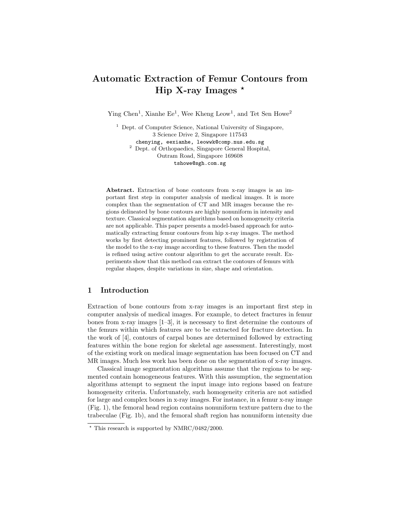# Automatic Extraction of Femur Contours from Hip X-ray Images  $*$

Ying Chen<sup>1</sup>, Xianhe Ee<sup>1</sup>, Wee Kheng Leow<sup>1</sup>, and Tet Sen Howe<sup>2</sup>

<sup>1</sup> Dept. of Computer Science, National University of Singapore, 3 Science Drive 2, Singapore 117543 chenying, eexianhe, leowwk@comp.nus.edu.sg <sup>2</sup> Dept. of Orthopaedics, Singapore General Hospital, Outram Road, Singapore 169608 tshowe@sgh.com.sg

Abstract. Extraction of bone contours from x-ray images is an important first step in computer analysis of medical images. It is more complex than the segmentation of CT and MR images because the regions delineated by bone contours are highly nonuniform in intensity and texture. Classical segmentation algorithms based on homogeneity criteria are not applicable. This paper presents a model-based approach for automatically extracting femur contours from hip x-ray images. The method works by first detecting prominent features, followed by registration of the model to the x-ray image according to these features. Then the model is refined using active contour algorithm to get the accurate result. Experiments show that this method can extract the contours of femurs with regular shapes, despite variations in size, shape and orientation.

## 1 Introduction

Extraction of bone contours from x-ray images is an important first step in computer analysis of medical images. For example, to detect fractures in femur bones from x-ray images [1–3], it is necessary to first determine the contours of the femurs within which features are to be extracted for fracture detection. In the work of [4], contours of carpal bones are determined followed by extracting features within the bone region for skeletal age assessment. Interestingly, most of the existing work on medical image segmentation has been focused on CT and MR images. Much less work has been done on the segmentation of x-ray images.

Classical image segmentation algorithms assume that the regions to be segmented contain homogeneous features. With this assumption, the segmentation algorithms attempt to segment the input image into regions based on feature homogeneity criteria. Unfortunately, such homogeneity criteria are not satisfied for large and complex bones in x-ray images. For instance, in a femur x-ray image (Fig. 1), the femoral head region contains nonuniform texture pattern due to the trabeculae (Fig. 1b), and the femoral shaft region has nonuniform intensity due

 $*$  This research is supported by NMRC/0482/2000.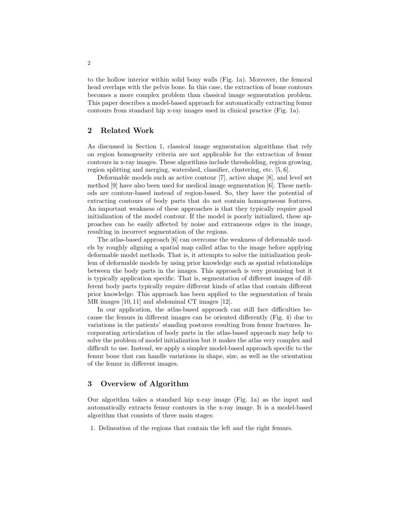to the hollow interior within solid bony walls (Fig. 1a). Moreover, the femoral head overlaps with the pelvis bone. In this case, the extraction of bone contours becomes a more complex problem than classical image segmentation problem. This paper describes a model-based approach for automatically extracting femur contours from standard hip x-ray images used in clinical practice (Fig. 1a).

## 2 Related Work

As discussed in Section 1, classical image segmentation algorithms that rely on region homogeneity criteria are not applicable for the extraction of femur contours in x-ray images. These algorithms include thresholding, region growing, region splitting and merging, watershed, classifier, clustering, etc. [5, 6].

Deformable models such as active contour [7], active shape [8], and level set method [9] have also been used for medical image segmentation [6]. These methods are contour-based instead of region-based. So, they have the potential of extracting contours of body parts that do not contain homogeneous features. An important weakness of these approaches is that they typically require good initialization of the model contour. If the model is poorly initialized, these approaches can be easily affected by noise and extraneous edges in the image, resulting in incorrect segmentation of the regions.

The atlas-based approach [6] can overcome the weakness of deformable models by roughly aligning a spatial map called atlas to the image before applying deformable model methods. That is, it attempts to solve the initialization problem of deformable models by using prior knowledge such as spatial relationships between the body parts in the images. This approach is very promising but it is typically application specific. That is, segmentation of different images of different body parts typically require different kinds of atlas that contain different prior knowledge. This approach has been applied to the segmentation of brain MR images [10, 11] and abdominal CT images [12].

In our application, the atlas-based approach can still face difficulties because the femurs in different images can be oriented differently (Fig. 4) due to variations in the patients' standing postures resulting from femur fractures. Incorporating articulation of body parts in the atlas-based approach may help to solve the problem of model initialization but it makes the atlas very complex and difficult to use. Instead, we apply a simpler model-based approach specific to the femur bone that can handle variations in shape, size, as well as the orientation of the femur in different images.

## 3 Overview of Algorithm

Our algorithm takes a standard hip x-ray image (Fig. 1a) as the input and automatically extracts femur contours in the x-ray image. It is a model-based algorithm that consists of three main stages:

1. Delineation of the regions that contain the left and the right femurs.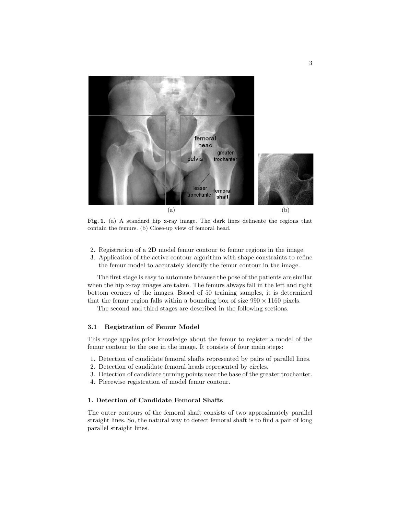

Fig. 1. (a) A standard hip x-ray image. The dark lines delineate the regions that contain the femurs. (b) Close-up view of femoral head.

- 2. Registration of a 2D model femur contour to femur regions in the image.
- 3. Application of the active contour algorithm with shape constraints to refine the femur model to accurately identify the femur contour in the image.

The first stage is easy to automate because the pose of the patients are similar when the hip x-ray images are taken. The femurs always fall in the left and right bottom corners of the images. Based of 50 training samples, it is determined that the femur region falls within a bounding box of size  $990 \times 1160$  pixels.

The second and third stages are described in the following sections.

#### 3.1 Registration of Femur Model

This stage applies prior knowledge about the femur to register a model of the femur contour to the one in the image. It consists of four main steps:

- 1. Detection of candidate femoral shafts represented by pairs of parallel lines.
- 2. Detection of candidate femoral heads represented by circles.
- 3. Detection of candidate turning points near the base of the greater trochanter.
- 4. Piecewise registration of model femur contour.

## 1. Detection of Candidate Femoral Shafts

The outer contours of the femoral shaft consists of two approximately parallel straight lines. So, the natural way to detect femoral shaft is to find a pair of long parallel straight lines.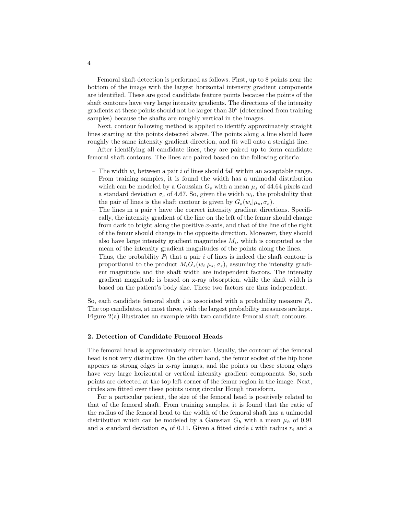Femoral shaft detection is performed as follows. First, up to 8 points near the bottom of the image with the largest horizontal intensity gradient components are identified. These are good candidate feature points because the points of the shaft contours have very large intensity gradients. The directions of the intensity gradients at these points should not be larger than  $30^{\circ}$  (determined from training samples) because the shafts are roughly vertical in the images.

Next, contour following method is applied to identify approximately straight lines starting at the points detected above. The points along a line should have roughly the same intensity gradient direction, and fit well onto a straight line.

After identifying all candidate lines, they are paired up to form candidate femoral shaft contours. The lines are paired based on the following criteria:

- The width  $w_i$  between a pair i of lines should fall within an acceptable range. From training samples, it is found the width has a unimodal distribution which can be modeled by a Gaussian  $G_s$  with a mean  $\mu_s$  of 44.64 pixels and a standard deviation  $\sigma_s$  of 4.67. So, given the width  $w_i$ , the probability that the pair of lines is the shaft contour is given by  $G_s(w_i|\mu_s, \sigma_s)$ .
- The lines in a pair  $i$  have the correct intensity gradient directions. Specifically, the intensity gradient of the line on the left of the femur should change from dark to bright along the positive x-axis, and that of the line of the right of the femur should change in the opposite direction. Moreover, they should also have large intensity gradient magnitudes  $M_i$ , which is computed as the mean of the intensity gradient magnitudes of the points along the lines.
- Thus, the probability  $P_i$  that a pair i of lines is indeed the shaft contour is proportional to the product  $M_i G_s(w_i | \mu_s, \sigma_s)$ , assuming the intensity gradient magnitude and the shaft width are independent factors. The intensity gradient magnitude is based on x-ray absorption, while the shaft width is based on the patient's body size. These two factors are thus independent.

So, each candidate femoral shaft i is associated with a probability measure  $P_i$ . The top candidates, at most three, with the largest probability measures are kept. Figure 2(a) illustrates an example with two candidate femoral shaft contours.

#### 2. Detection of Candidate Femoral Heads

The femoral head is approximately circular. Usually, the contour of the femoral head is not very distinctive. On the other hand, the femur socket of the hip bone appears as strong edges in x-ray images, and the points on these strong edges have very large horizontal or vertical intensity gradient components. So, such points are detected at the top left corner of the femur region in the image. Next, circles are fitted over these points using circular Hough transform.

For a particular patient, the size of the femoral head is positively related to that of the femoral shaft. From training samples, it is found that the ratio of the radius of the femoral head to the width of the femoral shaft has a unimodal distribution which can be modeled by a Gaussian  $G_h$  with a mean  $\mu_h$  of 0.91 and a standard deviation  $\sigma_h$  of 0.11. Given a fitted circle i with radius  $r_i$  and a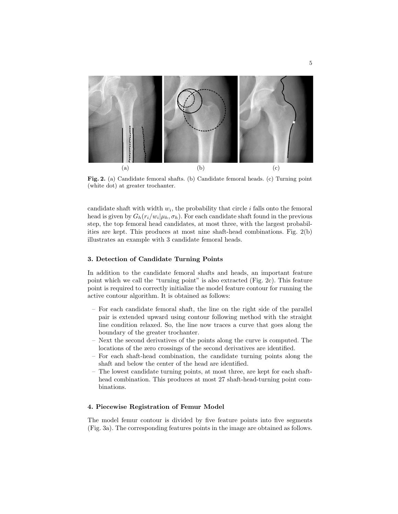

Fig. 2. (a) Candidate femoral shafts. (b) Candidate femoral heads. (c) Turning point (white dot) at greater trochanter.

candidate shaft with width  $w_i$ , the probability that circle i falls onto the femoral head is given by  $G_h(r_i/w_i|\mu_h, \sigma_h)$ . For each candidate shaft found in the previous step, the top femoral head candidates, at most three, with the largest probabilities are kept. This produces at most nine shaft-head combinations. Fig. 2(b) illustrates an example with 3 candidate femoral heads.

#### 3. Detection of Candidate Turning Points

In addition to the candidate femoral shafts and heads, an important feature point which we call the "turning point" is also extracted (Fig. 2c). This feature point is required to correctly initialize the model feature contour for running the active contour algorithm. It is obtained as follows:

- For each candidate femoral shaft, the line on the right side of the parallel pair is extended upward using contour following method with the straight line condition relaxed. So, the line now traces a curve that goes along the boundary of the greater trochanter.
- Next the second derivatives of the points along the curve is computed. The locations of the zero crossings of the second derivatives are identified.
- For each shaft-head combination, the candidate turning points along the shaft and below the center of the head are identified.
- The lowest candidate turning points, at most three, are kept for each shafthead combination. This produces at most 27 shaft-head-turning point combinations.

#### 4. Piecewise Registration of Femur Model

The model femur contour is divided by five feature points into five segments (Fig. 3a). The corresponding features points in the image are obtained as follows.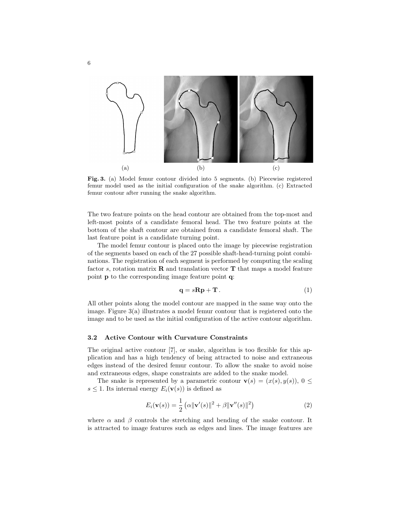

Fig. 3. (a) Model femur contour divided into 5 segments. (b) Piecewise registered femur model used as the initial configuration of the snake algorithm. (c) Extracted femur contour after running the snake algorithm.

The two feature points on the head contour are obtained from the top-most and left-most points of a candidate femoral head. The two feature points at the bottom of the shaft contour are obtained from a candidate femoral shaft. The last feature point is a candidate turning point.

The model femur contour is placed onto the image by piecewise registration of the segments based on each of the 27 possible shaft-head-turning point combinations. The registration of each segment is performed by computing the scaling factor s, rotation matrix  $\bf{R}$  and translation vector  $\bf{T}$  that maps a model feature point p to the corresponding image feature point q:

$$
\mathbf{q} = s\mathbf{R}\mathbf{p} + \mathbf{T}.\tag{1}
$$

All other points along the model contour are mapped in the same way onto the image. Figure 3(a) illustrates a model femur contour that is registered onto the image and to be used as the initial configuration of the active contour algorithm.

#### 3.2 Active Contour with Curvature Constraints

The original active contour [7], or snake, algorithm is too flexible for this application and has a high tendency of being attracted to noise and extraneous edges instead of the desired femur contour. To allow the snake to avoid noise and extraneous edges, shape constraints are added to the snake model.

The snake is represented by a parametric contour  $\mathbf{v}(s) = (x(s), y(s)), 0 \le$  $s \leq 1$ . Its internal energy  $E_i(\mathbf{v}(s))$  is defined as

$$
E_i(\mathbf{v}(s)) = \frac{1}{2} \left( \alpha \|\mathbf{v}'(s)\|^2 + \beta \|\mathbf{v}''(s)\|^2 \right) \tag{2}
$$

where  $\alpha$  and  $\beta$  controls the stretching and bending of the snake contour. It is attracted to image features such as edges and lines. The image features are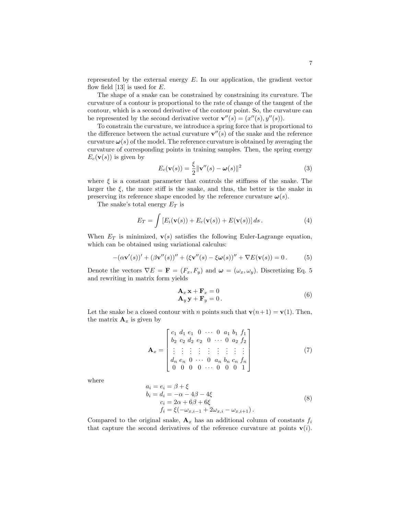represented by the external energy  $E$ . In our application, the gradient vector flow field [13] is used for  $E$ .

The shape of a snake can be constrained by constraining its curvature. The curvature of a contour is proportional to the rate of change of the tangent of the contour, which is a second derivative of the contour point. So, the curvature can be represented by the second derivative vector  $\mathbf{v}''(s) = (x''(s), y''(s))$ .

To constrain the curvature, we introduce a spring force that is proportional to the difference between the actual curvature  $\mathbf{v}''(s)$  of the snake and the reference curvature  $\omega(s)$  of the model. The reference curvature is obtained by averaging the curvature of corresponding points in training samples. Then, the spring energy  $E_c(\mathbf{v}(s))$  is given by

$$
E_c(\mathbf{v}(s)) = \frac{\xi}{2} ||\mathbf{v}''(s) - \boldsymbol{\omega}(s)||^2
$$
\n(3)

where  $\xi$  is a constant parameter that controls the stiffness of the snake. The larger the  $\xi$ , the more stiff is the snake, and thus, the better is the snake in preserving its reference shape encoded by the reference curvature  $\omega(s)$ .

The snake's total energy  $E_T$  is

$$
E_T = \int \left[ E_i(\mathbf{v}(s)) + E_c(\mathbf{v}(s)) + E(\mathbf{v}(s)) \right] ds.
$$
 (4)

When  $E_T$  is minimized,  $\mathbf{v}(s)$  satisfies the following Euler-Lagrange equation, which can be obtained using variational calculus:

$$
-(\alpha \mathbf{v}'(s))' + (\beta \mathbf{v}''(s))'' + (\xi \mathbf{v}''(s) - \xi \boldsymbol{\omega}(s))'' + \nabla E(\mathbf{v}(s)) = 0.
$$
 (5)

Denote the vectors  $\nabla E = \mathbf{F} = (F_x, F_y)$  and  $\boldsymbol{\omega} = (\omega_x, \omega_y)$ . Discretizing Eq. 5 and rewriting in matrix form yields

$$
\mathbf{A}_x \mathbf{x} + \mathbf{F}_x = 0
$$
  
\n
$$
\mathbf{A}_y \mathbf{y} + \mathbf{F}_y = 0.
$$
\n(6)

Let the snake be a closed contour with n points such that  $\mathbf{v}(n+1) = \mathbf{v}(1)$ . Then, the matrix  $\mathbf{A}_x$  is given by

$$
\mathbf{A}_x = \begin{bmatrix} c_1 & d_1 & e_1 & 0 & \cdots & 0 & a_1 & b_1 & f_1 \\ b_2 & c_2 & d_2 & e_2 & 0 & \cdots & 0 & a_2 & f_2 \\ \vdots & \vdots & \vdots & \vdots & \vdots & \vdots & \vdots & \vdots \\ d_n & e_n & 0 & \cdots & 0 & a_n & b_n & c_n & f_n \\ 0 & 0 & 0 & 0 & \cdots & 0 & 0 & 0 & 1 \end{bmatrix} \tag{7}
$$

where

$$
a_i = e_i = \beta + \xi b_i = d_i = -\alpha - 4\beta - 4\xi c_i = 2\alpha + 6\beta + 6\xi f_i = \xi(-\omega_{x,i-1} + 2\omega_{x,i} - \omega_{x,i+1}).
$$
 (8)

Compared to the original snake,  $\mathbf{A}_x$  has an additional column of constants  $f_i$ that capture the second derivatives of the reference curvature at points  $v(i)$ .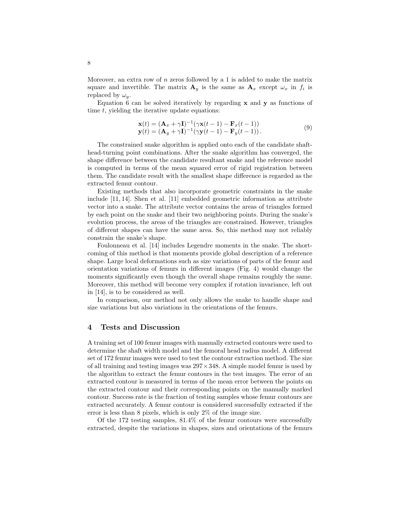Moreover, an extra row of  $n$  zeros followed by a 1 is added to make the matrix square and invertible. The matrix  $\mathbf{A}_y$  is the same as  $\mathbf{A}_x$  except  $\omega_x$  in  $f_i$  is replaced by  $\omega_{\eta}$ .

Equation 6 can be solved iteratively by regarding  $x$  and  $y$  as functions of time  $t$ , yielding the iterative update equations:

$$
\mathbf{x}(t) = (\mathbf{A}_x + \gamma \mathbf{I})^{-1}(\gamma \mathbf{x}(t-1) - \mathbf{F}_x(t-1))
$$
  
\n
$$
\mathbf{y}(t) = (\mathbf{A}_y + \gamma \mathbf{I})^{-1}(\gamma \mathbf{y}(t-1) - \mathbf{F}_y(t-1)).
$$
\n(9)

The constrained snake algorithm is applied onto each of the candidate shafthead-turning point combinations. After the snake algorithm has converged, the shape difference between the candidate resultant snake and the reference model is computed in terms of the mean squared error of rigid registration between them. The candidate result with the smallest shape difference is regarded as the extracted femur contour.

Existing methods that also incorporate geometric constraints in the snake include [11, 14]. Shen et al. [11] embedded geometric information as attribute vector into a snake. The attribute vector contains the areas of triangles formed by each point on the snake and their two neighboring points. During the snake's evolution process, the areas of the triangles are constrained. However, triangles of different shapes can have the same area. So, this method may not reliably constrain the snake's shape.

Foulonneau et al. [14] includes Legendre moments in the snake. The shortcoming of this method is that moments provide global description of a reference shape. Large local deformations such as size variations of parts of the femur and orientation variations of femurs in different images (Fig. 4) would change the moments significantly even though the overall shape remains roughly the same. Moreover, this method will become very complex if rotation invariance, left out in [14], is to be considered as well.

In comparison, our method not only allows the snake to handle shape and size variations but also variations in the orientations of the femurs.

### 4 Tests and Discussion

A training set of 100 femur images with manually extracted contours were used to determine the shaft width model and the femoral head radius model. A different set of 172 femur images were used to test the contour extraction method. The size of all training and testing images was  $297 \times 348$ . A simple model femur is used by the algorithm to extract the femur contours in the test images. The error of an extracted contour is measured in terms of the mean error between the points on the extracted contour and their corresponding points on the manually marked contour. Success rate is the fraction of testing samples whose femur contours are extracted accurately. A femur contour is considered successfully extracted if the error is less than 8 pixels, which is only 2% of the image size.

Of the 172 testing samples, 81.4% of the femur contours were successfully extracted, despite the variations in shapes, sizes and orientations of the femurs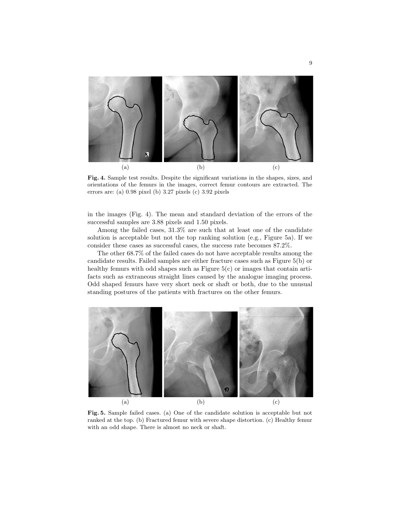

Fig. 4. Sample test results. Despite the significant variations in the shapes, sizes, and orientations of the femurs in the images, correct femur contours are extracted. The errors are: (a) 0.98 pixel (b) 3.27 pixels (c) 3.92 pixels

in the images (Fig. 4). The mean and standard deviation of the errors of the successful samples are 3.88 pixels and 1.50 pixels.

Among the failed cases, 31.3% are such that at least one of the candidate solution is acceptable but not the top ranking solution (e.g., Figure 5a). If we consider these cases as successful cases, the success rate becomes 87.2%.

The other 68.7% of the failed cases do not have acceptable results among the candidate results. Failed samples are either fracture cases such as Figure 5(b) or healthy femurs with odd shapes such as Figure 5(c) or images that contain artifacts such as extraneous straight lines caused by the analogue imaging process. Odd shaped femurs have very short neck or shaft or both, due to the unusual standing postures of the patients with fractures on the other femurs.



Fig. 5. Sample failed cases. (a) One of the candidate solution is acceptable but not ranked at the top. (b) Fractured femur with severe shape distortion. (c) Healthy femur with an odd shape. There is almost no neck or shaft.